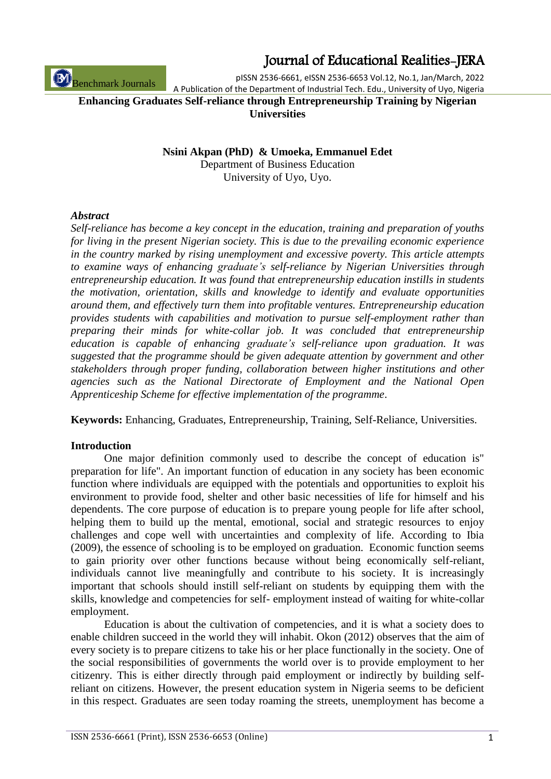pISSN 2536-6661, eISSN 2536-6653 Vol.12, No.1, Jan/March, 2022 A Publication of the Department of Industrial Tech. Edu., University of Uyo, Nigeria

**Enhancing Graduates Self-reliance through Entrepreneurship Training by Nigerian Universities**

> **Nsini Akpan (PhD) & Umoeka, Emmanuel Edet**  Department of Business Education University of Uyo, Uyo.

#### *Abstract*

Benchmark Journals

*Self-reliance has become a key concept in the education, training and preparation of youths for living in the present Nigerian society. This is due to the prevailing economic experience in the country marked by rising unemployment and excessive poverty. This article attempts to examine ways of enhancing graduate's self-reliance by Nigerian Universities through entrepreneurship education. It was found that entrepreneurship education instills in students the motivation, orientation, skills and knowledge to identify and evaluate opportunities around them, and effectively turn them into profitable ventures. Entrepreneurship education provides students with capabilities and motivation to pursue self-employment rather than preparing their minds for white-collar job. It was concluded that entrepreneurship education is capable of enhancing graduate's self-reliance upon graduation. It was suggested that the programme should be given adequate attention by government and other stakeholders through proper funding, collaboration between higher institutions and other agencies such as the National Directorate of Employment and the National Open Apprenticeship Scheme for effective implementation of the programme*.

**Keywords:** Enhancing, Graduates, Entrepreneurship, Training, Self-Reliance, Universities.

#### **Introduction**

One major definition commonly used to describe the concept of education is" preparation for life". An important function of education in any society has been economic function where individuals are equipped with the potentials and opportunities to exploit his environment to provide food, shelter and other basic necessities of life for himself and his dependents. The core purpose of education is to prepare young people for life after school, helping them to build up the mental, emotional, social and strategic resources to enjoy challenges and cope well with uncertainties and complexity of life. According to Ibia (2009), the essence of schooling is to be employed on graduation. Economic function seems to gain priority over other functions because without being economically self-reliant, individuals cannot live meaningfully and contribute to his society. It is increasingly important that schools should instill self-reliant on students by equipping them with the skills, knowledge and competencies for self- employment instead of waiting for white-collar employment.

Education is about the cultivation of competencies, and it is what a society does to enable children succeed in the world they will inhabit. Okon (2012) observes that the aim of every society is to prepare citizens to take his or her place functionally in the society. One of the social responsibilities of governments the world over is to provide employment to her citizenry. This is either directly through paid employment or indirectly by building selfreliant on citizens. However, the present education system in Nigeria seems to be deficient in this respect. Graduates are seen today roaming the streets, unemployment has become a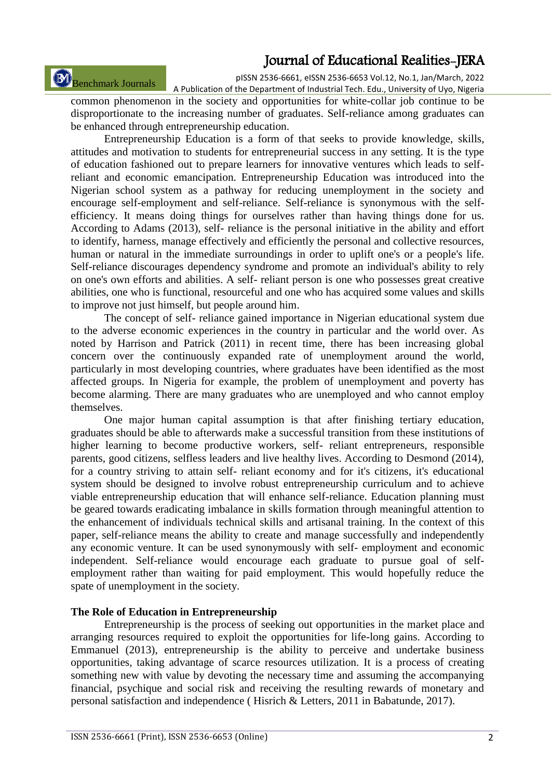# Benchmark Journals

pISSN 2536-6661, eISSN 2536-6653 Vol.12, No.1, Jan/March, 2022 A Publication of the Department of Industrial Tech. Edu., University of Uyo, Nigeria

common phenomenon in the society and opportunities for white-collar job continue to be disproportionate to the increasing number of graduates. Self-reliance among graduates can be enhanced through entrepreneurship education.

Entrepreneurship Education is a form of that seeks to provide knowledge, skills, attitudes and motivation to students for entrepreneurial success in any setting. It is the type of education fashioned out to prepare learners for innovative ventures which leads to selfreliant and economic emancipation. Entrepreneurship Education was introduced into the Nigerian school system as a pathway for reducing unemployment in the society and encourage self-employment and self-reliance. Self-reliance is synonymous with the selfefficiency. It means doing things for ourselves rather than having things done for us. According to Adams (2013), self- reliance is the personal initiative in the ability and effort to identify, harness, manage effectively and efficiently the personal and collective resources, human or natural in the immediate surroundings in order to uplift one's or a people's life. Self-reliance discourages dependency syndrome and promote an individual's ability to rely on one's own efforts and abilities. A self- reliant person is one who possesses great creative abilities, one who is functional, resourceful and one who has acquired some values and skills to improve not just himself, but people around him.

The concept of self- reliance gained importance in Nigerian educational system due to the adverse economic experiences in the country in particular and the world over. As noted by Harrison and Patrick (2011) in recent time, there has been increasing global concern over the continuously expanded rate of unemployment around the world, particularly in most developing countries, where graduates have been identified as the most affected groups. In Nigeria for example, the problem of unemployment and poverty has become alarming. There are many graduates who are unemployed and who cannot employ themselves.

One major human capital assumption is that after finishing tertiary education, graduates should be able to afterwards make a successful transition from these institutions of higher learning to become productive workers, self- reliant entrepreneurs, responsible parents, good citizens, selfless leaders and live healthy lives. According to Desmond (2014), for a country striving to attain self- reliant economy and for it's citizens, it's educational system should be designed to involve robust entrepreneurship curriculum and to achieve viable entrepreneurship education that will enhance self-reliance. Education planning must be geared towards eradicating imbalance in skills formation through meaningful attention to the enhancement of individuals technical skills and artisanal training. In the context of this paper, self-reliance means the ability to create and manage successfully and independently any economic venture. It can be used synonymously with self- employment and economic independent. Self-reliance would encourage each graduate to pursue goal of selfemployment rather than waiting for paid employment. This would hopefully reduce the spate of unemployment in the society.

#### **The Role of Education in Entrepreneurship**

Entrepreneurship is the process of seeking out opportunities in the market place and arranging resources required to exploit the opportunities for life-long gains. According to Emmanuel (2013), entrepreneurship is the ability to perceive and undertake business opportunities, taking advantage of scarce resources utilization. It is a process of creating something new with value by devoting the necessary time and assuming the accompanying financial, psychique and social risk and receiving the resulting rewards of monetary and personal satisfaction and independence ( Hisrich & Letters, 2011 in Babatunde, 2017).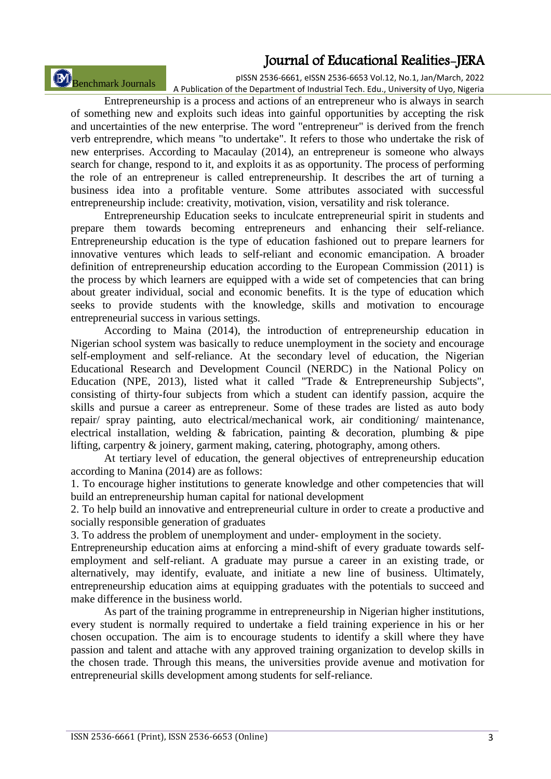Benchmark Journals

pISSN 2536-6661, eISSN 2536-6653 Vol.12, No.1, Jan/March, 2022 A Publication of the Department of Industrial Tech. Edu., University of Uyo, Nigeria

Entrepreneurship is a process and actions of an entrepreneur who is always in search of something new and exploits such ideas into gainful opportunities by accepting the risk and uncertainties of the new enterprise. The word "entrepreneur" is derived from the french verb entreprendre, which means "to undertake". It refers to those who undertake the risk of new enterprises. According to Macaulay (2014), an entrepreneur is someone who always search for change, respond to it, and exploits it as as opportunity. The process of performing the role of an entrepreneur is called entrepreneurship. It describes the art of turning a business idea into a profitable venture. Some attributes associated with successful entrepreneurship include: creativity, motivation, vision, versatility and risk tolerance.

Entrepreneurship Education seeks to inculcate entrepreneurial spirit in students and prepare them towards becoming entrepreneurs and enhancing their self-reliance. Entrepreneurship education is the type of education fashioned out to prepare learners for innovative ventures which leads to self-reliant and economic emancipation. A broader definition of entrepreneurship education according to the European Commission (2011) is the process by which learners are equipped with a wide set of competencies that can bring about greater individual, social and economic benefits. It is the type of education which seeks to provide students with the knowledge, skills and motivation to encourage entrepreneurial success in various settings.

According to Maina (2014), the introduction of entrepreneurship education in Nigerian school system was basically to reduce unemployment in the society and encourage self-employment and self-reliance. At the secondary level of education, the Nigerian Educational Research and Development Council (NERDC) in the National Policy on Education (NPE, 2013), listed what it called "Trade & Entrepreneurship Subjects", consisting of thirty-four subjects from which a student can identify passion, acquire the skills and pursue a career as entrepreneur. Some of these trades are listed as auto body repair/ spray painting, auto electrical/mechanical work, air conditioning/ maintenance, electrical installation, welding  $\&$  fabrication, painting  $\&$  decoration, plumbing  $\&$  pipe lifting, carpentry & joinery, garment making, catering, photography, among others.

At tertiary level of education, the general objectives of entrepreneurship education according to Manina (2014) are as follows:

1. To encourage higher institutions to generate knowledge and other competencies that will build an entrepreneurship human capital for national development

2. To help build an innovative and entrepreneurial culture in order to create a productive and socially responsible generation of graduates

3. To address the problem of unemployment and under- employment in the society.

Entrepreneurship education aims at enforcing a mind-shift of every graduate towards selfemployment and self-reliant. A graduate may pursue a career in an existing trade, or alternatively, may identify, evaluate, and initiate a new line of business. Ultimately, entrepreneurship education aims at equipping graduates with the potentials to succeed and make difference in the business world.

As part of the training programme in entrepreneurship in Nigerian higher institutions, every student is normally required to undertake a field training experience in his or her chosen occupation. The aim is to encourage students to identify a skill where they have passion and talent and attache with any approved training organization to develop skills in the chosen trade. Through this means, the universities provide avenue and motivation for entrepreneurial skills development among students for self-reliance.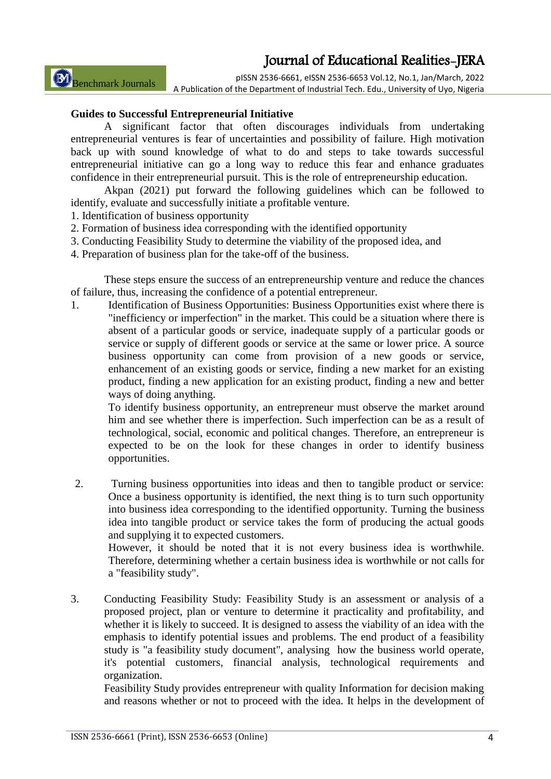Benchmark Journals

pISSN 2536-6661, eISSN 2536-6653 Vol.12, No.1, Jan/March, 2022 A Publication of the Department of Industrial Tech. Edu., University of Uyo, Nigeria

### **Guides to Successful Entrepreneurial Initiative**

A significant factor that often discourages individuals from undertaking entrepreneurial ventures is fear of uncertainties and possibility of failure. High motivation back up with sound knowledge of what to do and steps to take towards successful entrepreneurial initiative can go a long way to reduce this fear and enhance graduates confidence in their entrepreneurial pursuit. This is the role of entrepreneurship education.

Akpan (2021) put forward the following guidelines which can be followed to identify, evaluate and successfully initiate a profitable venture.

- 1. Identification of business opportunity
- 2. Formation of business idea corresponding with the identified opportunity
- 3. Conducting Feasibility Study to determine the viability of the proposed idea, and
- 4. Preparation of business plan for the take-off of the business.

These steps ensure the success of an entrepreneurship venture and reduce the chances of failure, thus, increasing the confidence of a potential entrepreneur.

1. Identification of Business Opportunities: Business Opportunities exist where there is "inefficiency or imperfection" in the market. This could be a situation where there is absent of a particular goods or service, inadequate supply of a particular goods or service or supply of different goods or service at the same or lower price. A source business opportunity can come from provision of a new goods or service, enhancement of an existing goods or service, finding a new market for an existing product, finding a new application for an existing product, finding a new and better ways of doing anything.

To identify business opportunity, an entrepreneur must observe the market around him and see whether there is imperfection. Such imperfection can be as a result of technological, social, economic and political changes. Therefore, an entrepreneur is expected to be on the look for these changes in order to identify business opportunities.

2. Turning business opportunities into ideas and then to tangible product or service: Once a business opportunity is identified, the next thing is to turn such opportunity into business idea corresponding to the identified opportunity. Turning the business idea into tangible product or service takes the form of producing the actual goods and supplying it to expected customers.

However, it should be noted that it is not every business idea is worthwhile. Therefore, determining whether a certain business idea is worthwhile or not calls for a "feasibility study".

3. Conducting Feasibility Study: Feasibility Study is an assessment or analysis of a proposed project, plan or venture to determine it practicality and profitability, and whether it is likely to succeed. It is designed to assess the viability of an idea with the emphasis to identify potential issues and problems. The end product of a feasibility study is "a feasibility study document", analysing how the business world operate, it's potential customers, financial analysis, technological requirements and organization.

Feasibility Study provides entrepreneur with quality Information for decision making and reasons whether or not to proceed with the idea. It helps in the development of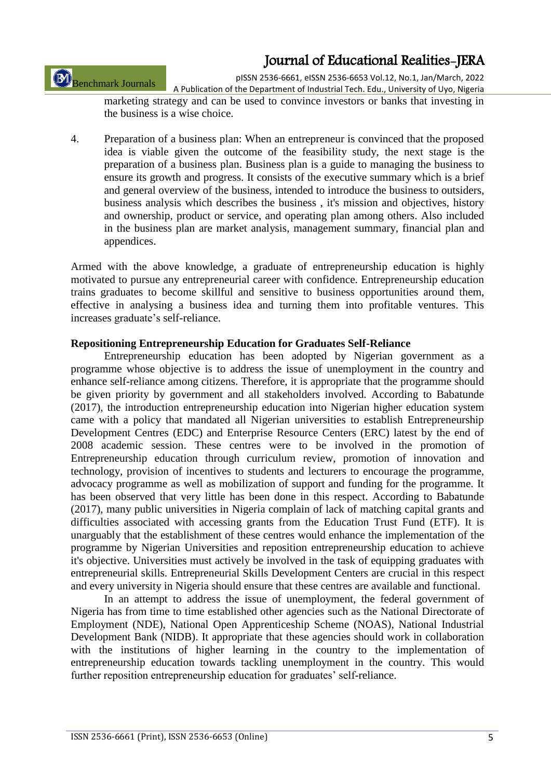Benchmark Journals

pISSN 2536-6661, eISSN 2536-6653 Vol.12, No.1, Jan/March, 2022

A Publication of the Department of Industrial Tech. Edu., University of Uyo, Nigeria marketing strategy and can be used to convince investors or banks that investing in the business is a wise choice.

4. Preparation of a business plan: When an entrepreneur is convinced that the proposed idea is viable given the outcome of the feasibility study, the next stage is the preparation of a business plan. Business plan is a guide to managing the business to ensure its growth and progress. It consists of the executive summary which is a brief and general overview of the business, intended to introduce the business to outsiders, business analysis which describes the business , it's mission and objectives, history and ownership, product or service, and operating plan among others. Also included in the business plan are market analysis, management summary, financial plan and appendices.

Armed with the above knowledge, a graduate of entrepreneurship education is highly motivated to pursue any entrepreneurial career with confidence. Entrepreneurship education trains graduates to become skillful and sensitive to business opportunities around them, effective in analysing a business idea and turning them into profitable ventures. This increases graduate's self-reliance.

### **Repositioning Entrepreneurship Education for Graduates Self-Reliance**

Entrepreneurship education has been adopted by Nigerian government as a programme whose objective is to address the issue of unemployment in the country and enhance self-reliance among citizens. Therefore, it is appropriate that the programme should be given priority by government and all stakeholders involved. According to Babatunde (2017), the introduction entrepreneurship education into Nigerian higher education system came with a policy that mandated all Nigerian universities to establish Entrepreneurship Development Centres (EDC) and Enterprise Resource Centers (ERC) latest by the end of 2008 academic session. These centres were to be involved in the promotion of Entrepreneurship education through curriculum review, promotion of innovation and technology, provision of incentives to students and lecturers to encourage the programme, advocacy programme as well as mobilization of support and funding for the programme. It has been observed that very little has been done in this respect. According to Babatunde (2017), many public universities in Nigeria complain of lack of matching capital grants and difficulties associated with accessing grants from the Education Trust Fund (ETF). It is unarguably that the establishment of these centres would enhance the implementation of the programme by Nigerian Universities and reposition entrepreneurship education to achieve it's objective. Universities must actively be involved in the task of equipping graduates with entrepreneurial skills. Entrepreneurial Skills Development Centers are crucial in this respect and every university in Nigeria should ensure that these centres are available and functional.

In an attempt to address the issue of unemployment, the federal government of Nigeria has from time to time established other agencies such as the National Directorate of Employment (NDE), National Open Apprenticeship Scheme (NOAS), National Industrial Development Bank (NIDB). It appropriate that these agencies should work in collaboration with the institutions of higher learning in the country to the implementation of entrepreneurship education towards tackling unemployment in the country. This would further reposition entrepreneurship education for graduates' self-reliance.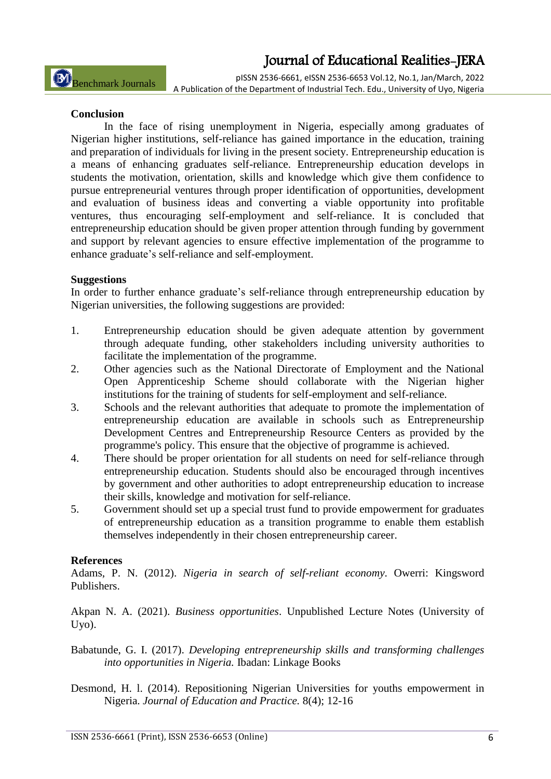pISSN 2536-6661, eISSN 2536-6653 Vol.12, No.1, Jan/March, 2022 A Publication of the Department of Industrial Tech. Edu., University of Uyo, Nigeria

### **Conclusion**

In the face of rising unemployment in Nigeria, especially among graduates of Nigerian higher institutions, self-reliance has gained importance in the education, training and preparation of individuals for living in the present society. Entrepreneurship education is a means of enhancing graduates self-reliance. Entrepreneurship education develops in students the motivation, orientation, skills and knowledge which give them confidence to pursue entrepreneurial ventures through proper identification of opportunities, development and evaluation of business ideas and converting a viable opportunity into profitable ventures, thus encouraging self-employment and self-reliance. It is concluded that entrepreneurship education should be given proper attention through funding by government and support by relevant agencies to ensure effective implementation of the programme to enhance graduate's self-reliance and self-employment.

### **Suggestions**

In order to further enhance graduate's self-reliance through entrepreneurship education by Nigerian universities, the following suggestions are provided:

- 1. Entrepreneurship education should be given adequate attention by government through adequate funding, other stakeholders including university authorities to facilitate the implementation of the programme.
- 2. Other agencies such as the National Directorate of Employment and the National Open Apprenticeship Scheme should collaborate with the Nigerian higher institutions for the training of students for self-employment and self-reliance.
- 3. Schools and the relevant authorities that adequate to promote the implementation of entrepreneurship education are available in schools such as Entrepreneurship Development Centres and Entrepreneurship Resource Centers as provided by the programme's policy. This ensure that the objective of programme is achieved.
- 4. There should be proper orientation for all students on need for self-reliance through entrepreneurship education. Students should also be encouraged through incentives by government and other authorities to adopt entrepreneurship education to increase their skills, knowledge and motivation for self-reliance.
- 5. Government should set up a special trust fund to provide empowerment for graduates of entrepreneurship education as a transition programme to enable them establish themselves independently in their chosen entrepreneurship career.

#### **References**

Adams, P. N. (2012). *Nigeria in search of self-reliant economy*. Owerri: Kingsword Publishers.

Akpan N. A. (2021). *Business opportunities*. Unpublished Lecture Notes (University of Uyo).

Babatunde, G. I. (2017). *Developing entrepreneurship skills and transforming challenges into opportunities in Nigeria.* Ibadan: Linkage Books

Desmond, H. l. (2014). Repositioning Nigerian Universities for youths empowerment in Nigeria. *Journal of Education and Practice.* 8(4); 12-16